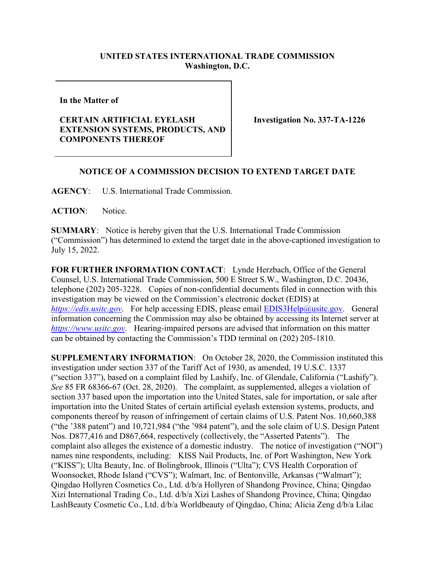## **UNITED STATES INTERNATIONAL TRADE COMMISSION Washington, D.C.**

**In the Matter of** 

## **CERTAIN ARTIFICIAL EYELASH EXTENSION SYSTEMS, PRODUCTS, AND COMPONENTS THEREOF**

**Investigation No. 337-TA-1226** 

## **NOTICE OF A COMMISSION DECISION TO EXTEND TARGET DATE**

**AGENCY**: U.S. International Trade Commission.

**ACTION**: Notice.

**SUMMARY**: Notice is hereby given that the U.S. International Trade Commission ("Commission") has determined to extend the target date in the above-captioned investigation to July 15, 2022.

**FOR FURTHER INFORMATION CONTACT**: Lynde Herzbach, Office of the General Counsel, U.S. International Trade Commission, 500 E Street S.W., Washington, D.C. 20436, telephone (202) 205-3228. Copies of non-confidential documents filed in connection with this investigation may be viewed on the Commission's electronic docket (EDIS) at *[https://edis.usitc.gov](https://edis.usitc.gov/)*. For help accessing EDIS, please email [EDIS3Help@usitc.gov.](mailto:EDIS3Help@usitc.gov) General information concerning the Commission may also be obtained by accessing its Internet server at *[https://www.usitc.gov](https://www.usitc.gov/)*. Hearing-impaired persons are advised that information on this matter can be obtained by contacting the Commission's TDD terminal on (202) 205-1810.

**SUPPLEMENTARY INFORMATION**: On October 28, 2020, the Commission instituted this investigation under section 337 of the Tariff Act of 1930, as amended, 19 U.S.C. 1337 ("section 337"), based on a complaint filed by Lashify, Inc. of Glendale, California ("Lashify"). *See* 85 FR 68366-67 (Oct. 28, 2020). The complaint, as supplemented, alleges a violation of section 337 based upon the importation into the United States, sale for importation, or sale after importation into the United States of certain artificial eyelash extension systems, products, and components thereof by reason of infringement of certain claims of U.S. Patent Nos. 10,660,388 ("the '388 patent") and 10,721,984 ("the '984 patent"), and the sole claim of U.S. Design Patent Nos. D877,416 and D867,664, respectively (collectively, the "Asserted Patents"). The complaint also alleges the existence of a domestic industry. The notice of investigation ("NOI") names nine respondents, including: KISS Nail Products, Inc. of Port Washington, New York ("KISS"); Ulta Beauty, Inc. of Bolingbrook, Illinois ("Ulta"); CVS Health Corporation of Woonsocket, Rhode Island ("CVS"); Walmart, Inc. of Bentonville, Arkansas ("Walmart"); Qingdao Hollyren Cosmetics Co., Ltd. d/b/a Hollyren of Shandong Province, China; Qingdao Xizi International Trading Co., Ltd. d/b/a Xizi Lashes of Shandong Province, China; Qingdao LashBeauty Cosmetic Co., Ltd. d/b/a Worldbeauty of Qingdao, China; Alicia Zeng d/b/a Lilac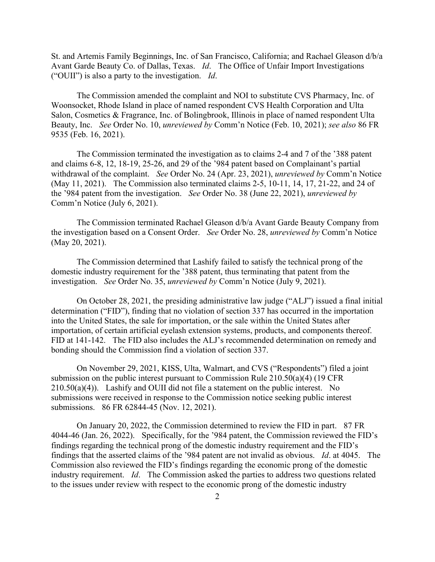St. and Artemis Family Beginnings, Inc. of San Francisco, California; and Rachael Gleason d/b/a Avant Garde Beauty Co. of Dallas, Texas. *Id*. The Office of Unfair Import Investigations ("OUII") is also a party to the investigation. *Id*.

The Commission amended the complaint and NOI to substitute CVS Pharmacy, Inc. of Woonsocket, Rhode Island in place of named respondent CVS Health Corporation and Ulta Salon, Cosmetics & Fragrance, Inc. of Bolingbrook, Illinois in place of named respondent Ulta Beauty, Inc. *See* Order No. 10, *unreviewed by* Comm'n Notice (Feb. 10, 2021); *see also* 86 FR 9535 (Feb. 16, 2021).

The Commission terminated the investigation as to claims 2-4 and 7 of the '388 patent and claims 6-8, 12, 18-19, 25-26, and 29 of the '984 patent based on Complainant's partial withdrawal of the complaint. *See* Order No. 24 (Apr. 23, 2021), *unreviewed by* Comm'n Notice (May 11, 2021). The Commission also terminated claims 2-5, 10-11, 14, 17, 21-22, and 24 of the '984 patent from the investigation. *See* Order No. 38 (June 22, 2021), *unreviewed by* Comm'n Notice (July 6, 2021).

The Commission terminated Rachael Gleason d/b/a Avant Garde Beauty Company from the investigation based on a Consent Order. *See* Order No. 28, *unreviewed by* Comm'n Notice (May 20, 2021).

The Commission determined that Lashify failed to satisfy the technical prong of the domestic industry requirement for the '388 patent, thus terminating that patent from the investigation. *See* Order No. 35, *unreviewed by* Comm'n Notice (July 9, 2021).

On October 28, 2021, the presiding administrative law judge ("ALJ") issued a final initial determination ("FID"), finding that no violation of section 337 has occurred in the importation into the United States, the sale for importation, or the sale within the United States after importation, of certain artificial eyelash extension systems, products, and components thereof. FID at 141-142. The FID also includes the ALJ's recommended determination on remedy and bonding should the Commission find a violation of section 337.

On November 29, 2021, KISS, Ulta, Walmart, and CVS ("Respondents") filed a joint submission on the public interest pursuant to Commission Rule 210.50(a)(4) (19 CFR  $210.50(a)(4)$ ). Lashify and OUII did not file a statement on the public interest. No submissions were received in response to the Commission notice seeking public interest submissions. 86 FR 62844-45 (Nov. 12, 2021).

On January 20, 2022, the Commission determined to review the FID in part. 87 FR 4044-46 (Jan. 26, 2022). Specifically, for the '984 patent, the Commission reviewed the FID's findings regarding the technical prong of the domestic industry requirement and the FID's findings that the asserted claims of the '984 patent are not invalid as obvious. *Id*. at 4045. The Commission also reviewed the FID's findings regarding the economic prong of the domestic industry requirement. *Id*. The Commission asked the parties to address two questions related to the issues under review with respect to the economic prong of the domestic industry